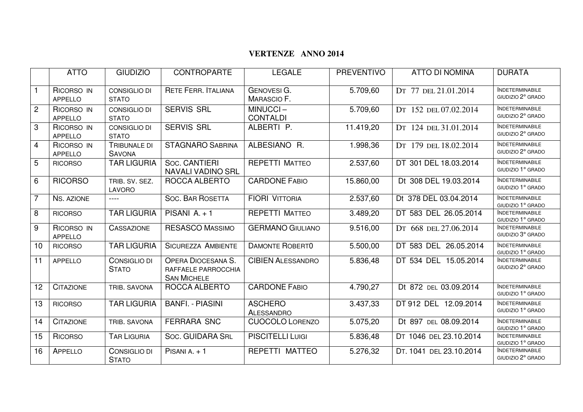## **VERTENZE ANNO 2014**

|                 | <b>ATTO</b>                  | <b>GIUDIZIO</b>                     | <b>CONTROPARTE</b>                                                     | <b>LEGALE</b>                            | <b>PREVENTIVO</b> | <b>ATTO DI NOMINA</b>   | <b>DURATA</b>                               |
|-----------------|------------------------------|-------------------------------------|------------------------------------------------------------------------|------------------------------------------|-------------------|-------------------------|---------------------------------------------|
| $\overline{1}$  | RICORSO IN<br><b>APPELLO</b> | CONSIGLIO DI<br><b>STATO</b>        | <b>RETE FERR. ITALIANA</b>                                             | <b>GENOVESI G.</b><br><b>MARASCIO F.</b> | 5.709,60          | DT 77 DEL 21.01.2014    | <b>INDETERMINABILE</b><br>GIUDIZIO 2º GRADO |
| $\overline{2}$  | RICORSO IN<br><b>APPELLO</b> | CONSIGLIO DI<br><b>STATO</b>        | <b>SERVIS SRL</b>                                                      | MINUCCI-<br><b>CONTALDI</b>              | 5.709,60          | DT 152 DEL 07.02.2014   | <b>INDETERMINABILE</b><br>GIUDIZIO 2º GRADO |
| 3               | RICORSO IN<br><b>APPELLO</b> | <b>CONSIGLIO DI</b><br><b>STATO</b> | <b>SERVIS SRL</b>                                                      | ALBERTI P.                               | 11.419,20         | DT 124 DEL 31.01.2014   | <b>INDETERMINABILE</b><br>GIUDIZIO 2º GRADO |
| $\overline{4}$  | RICORSO IN<br><b>APPELLO</b> | TRIBUNALE DI<br><b>SAVONA</b>       | <b>STAGNARO SABRINA</b>                                                | ALBESIANO R.                             | 1.998,36          | DT 179 DEL 18.02.2014   | <b>INDETERMINABILE</b><br>GIUDIZIO 2º GRADO |
| $\overline{5}$  | <b>RICORSO</b>               | <b>TAR LIGURIA</b>                  | Soc. CANTIERI<br><b>NAVALI VADINO SRL</b>                              | <b>REPETTI MATTEO</b>                    | 2.537,60          | DT 301 DEL 18.03.2014   | <b>INDETERMINABILE</b><br>GIUDIZIO 1º GRADO |
| $6\phantom{1}6$ | <b>RICORSO</b>               | TRIB. SV. SEZ.<br><b>LAVORO</b>     | ROCCA ALBERTO                                                          | <b>CARDONE FABIO</b>                     | 15.860,00         | Dt 308 DEL 19.03.2014   | <b>INDETERMINABILE</b><br>GIUDIZIO 1º GRADO |
| $\overline{7}$  | NS. AZIONE                   | $---$                               | <b>SOC. BAR ROSETTA</b>                                                | <b>FIORI VITTORIA</b>                    | 2.537,60          | Dt 378 DEL 03.04.2014   | <b>INDETERMINABILE</b><br>GIUDIZIO 1º GRADO |
| 8               | <b>RICORSO</b>               | <b>TAR LIGURIA</b>                  | PISANI $A. + 1$                                                        | <b>REPETTI MATTEO</b>                    | 3.489,20          | DT 583 DEL 26.05.2014   | <b>INDETERMINABILE</b><br>GIUDIZIO 1º GRADO |
| 9               | RICORSO IN<br><b>APPELLO</b> | <b>CASSAZIONE</b>                   | <b>RESASCO MASSIMO</b>                                                 | <b>GERMANO GIULIANO</b>                  | 9.516,00          | DT 668 DEL 27.06.2014   | <b>INDETERMINABILE</b><br>GIUDIZIO 3º GRADO |
| 10              | <b>RICORSO</b>               | <b>TAR LIGURIA</b>                  | <b>SICUREZZA AMBIENTE</b>                                              | <b>DAMONTE ROBERTO</b>                   | 5.500,00          | DT 583 DEL 26.05.2014   | <b>INDETERMINABILE</b><br>GIUDIZIO 1º GRADO |
| 11              | <b>APPELLO</b>               | CONSIGLIO DI<br><b>STATO</b>        | <b>OPERA DIOCESANA S.</b><br>RAFFAELE PARROCCHIA<br><b>SAN MICHELE</b> | <b>CIBIEN ALESSANDRO</b>                 | 5.836,48          | DT 534 DEL 15.05.2014   | <b>INDETERMINABILE</b><br>GIUDIZIO 2º GRADO |
| 12              | <b>CITAZIONE</b>             | TRIB. SAVONA                        | ROCCA ALBERTO                                                          | <b>CARDONE FABIO</b>                     | 4.790,27          | Dt 872 DEL 03.09.2014   | <b>INDETERMINABILE</b><br>GIUDIZIO 1º GRADO |
| 13              | <b>RICORSO</b>               | <b>TAR LIGURIA</b>                  | <b>BANFI. - PIASINI</b>                                                | <b>ASCHERO</b><br>ALESSANDRO             | 3.437,33          | DT 912 DEL 12.09.2014   | <b>INDETERMINABILE</b><br>GIUDIZIO 1º GRADO |
| 14              | <b>CITAZIONE</b>             | TRIB. SAVONA                        | <b>FERRARA SNC</b>                                                     | <b>CUOCOLO LORENZO</b>                   | 5.075,20          | Dt 897 DEL 08.09.2014   | <b>INDETERMINABILE</b><br>GIUDIZIO 1º GRADO |
| 15              | <b>RICORSO</b>               | <b>TAR LIGURIA</b>                  | <b>SOC. GUIDARA SRL</b>                                                | <b>PISCITELLI LUIGI</b>                  | 5.836,48          | DT 1046 DEL 23.10.2014  | <b>INDETERMINABILE</b><br>GIUDIZIO 1º GRADO |
| 16              | <b>APPELLO</b>               | CONSIGLIO DI<br><b>STATO</b>        | PISANI A. $+1$                                                         | REPETTI MATTEO                           | 5.276,32          | DT. 1041 DEL 23.10.2014 | <b>INDETERMINABILE</b><br>GIUDIZIO 2º GRADO |